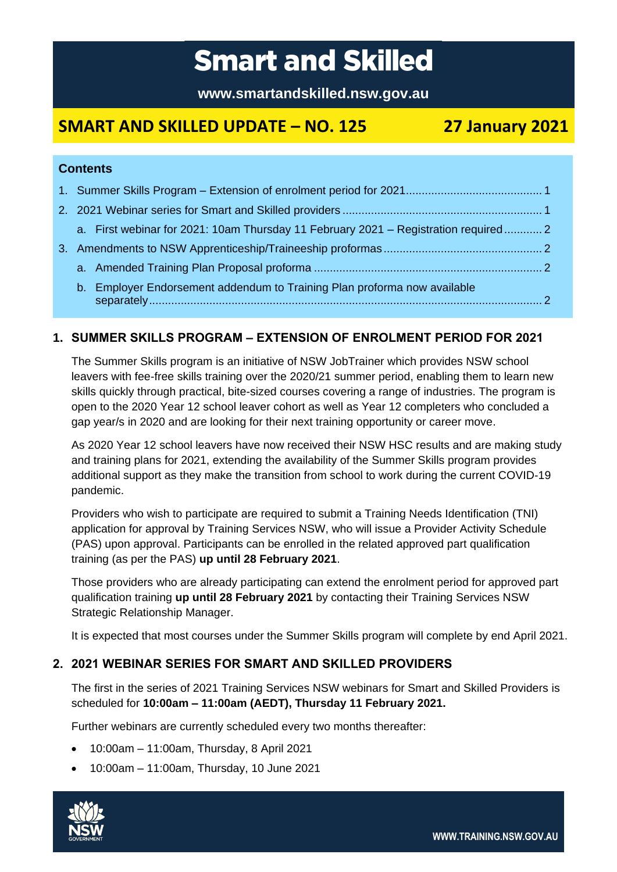# **Smart and Skilled**

**www.smartandskilled.nsw.gov.au**

## **SMART AND SKILLED UPDATE – NO. 125 27 January 2021**

## **Contents**

|  | a. First webinar for 2021: 10am Thursday 11 February 2021 – Registration required 2 |  |
|--|-------------------------------------------------------------------------------------|--|
|  |                                                                                     |  |
|  |                                                                                     |  |
|  | b. Employer Endorsement addendum to Training Plan proforma now available            |  |

## <span id="page-0-0"></span>**1. SUMMER SKILLS PROGRAM – EXTENSION OF ENROLMENT PERIOD FOR 2021**

The Summer Skills program is an initiative of NSW JobTrainer which provides NSW school leavers with fee-free skills training over the 2020/21 summer period, enabling them to learn new skills quickly through practical, bite-sized courses covering a range of industries. The program is open to the 2020 Year 12 school leaver cohort as well as Year 12 completers who concluded a gap year/s in 2020 and are looking for their next training opportunity or career move.

As 2020 Year 12 school leavers have now received their NSW HSC results and are making study and training plans for 2021, extending the availability of the Summer Skills program provides additional support as they make the transition from school to work during the current COVID-19 pandemic.

Providers who wish to participate are required to submit a Training Needs Identification (TNI) application for approval by Training Services NSW, who will issue a Provider Activity Schedule (PAS) upon approval. Participants can be enrolled in the related approved part qualification training (as per the PAS) **up until 28 February 2021**.

Those providers who are already participating can extend the enrolment period for approved part qualification training **up until 28 February 2021** by contacting their Training Services NSW Strategic Relationship Manager.

It is expected that most courses under the Summer Skills program will complete by end April 2021.

## <span id="page-0-1"></span>**2. 2021 WEBINAR SERIES FOR SMART AND SKILLED PROVIDERS**

The first in the series of 2021 Training Services NSW webinars for Smart and Skilled Providers is scheduled for **10:00am – 11:00am (AEDT), Thursday 11 February 2021.**

Further webinars are currently scheduled every two months thereafter:

- 10:00am 11:00am, Thursday, 8 April 2021
- 10:00am 11:00am, Thursday, 10 June 2021